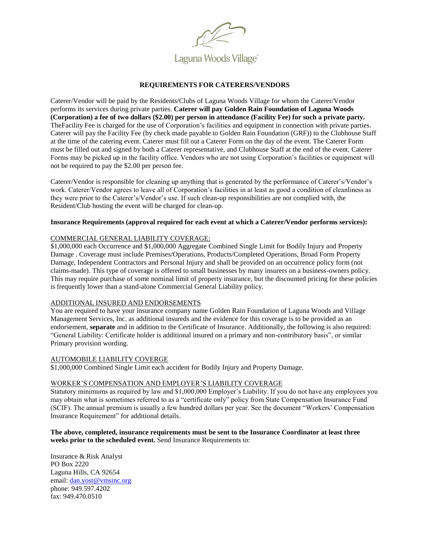

## **REQUIREMENTS FOR CATERERS/VENDORS**

Caterer/Vendor will be paid by the Residents/Clubs of Laguna Woods Village for whom the Caterer/Vendor performs its services during private parties. **Caterer will pay Golden Rain Foundation of Laguna Woods (Corporation) a fee of two dollars (\$2.00) per person in attendance (Facility Fee) for such a private party.**  TheFacility Fee is charged for the use of Corporation's facilities and equipment in connection with private parties. Caterer will pay the Facility Fee (by check made payable to Golden Rain Foundation (GRF)) to the Clubhouse Staff at the time of the catering event. Caterer must fill out a Caterer Form on the day of the event. The Caterer Form must be filled out and signed by both a Caterer representative, and Clubhouse Staff at the end of the event. Caterer Forms may be picked up in the facility office. Vendors who are not using Corporation's facilities or equipment will not be required to pay the \$2.00 per person fee.

Caterer/Vendor is responsible for cleaning up anything that is generated by the performance of Caterer's/Vendor's work. Caterer/Vendor agrees to leave all of Corporation's facilities in at least as good a condition of cleanliness as they were prior to the Caterer's/Vendor's use. If such clean-up responsibilities are not complied with, the Resident/Club hosting the event will be charged for clean-up.

#### **Insurance Requirements (approval required for each event at which a Caterer/Vendor performs services):**

## COMMERCIAL GENERAL LIABILITY COVERAGE:

\$1,000,000 each Occurrence and \$1,000,000 Aggregate Combined Single Limit for Bodily Injury and Property Damage . Coverage must include Premises/Operations, Products/Completed Operations, Broad Form Property Damage, Independent Contractors and Personal Injury and shall be provided on an occurrence policy form (not claims-made). This type of coverage is offered to small businesses by many insurers on a business-owners policy. This may require purchase of some nominal limit of property insurance, but the discounted pricing for these policies is frequently lower than a stand-alone Commercial General Liability policy.

#### ADDITIONAL INSURED AND ENDORSEMENTS

You are required to have your insurance company name Golden Rain Foundation of Laguna Woods and Village Management Services, Inc. as additional insureds and the evidence for this coverage is to be provided as an endorsement, **separate** and in addition to the Certificate of Insurance. Additionally, the following is also required: "General Liability: Certificate holder is additional insured on a primary and non-contributory basis", or similar Primary provision wording.

#### AUTOMOBILE LIABILITY COVERGE

\$1,000,000 Combined Single Limit each accident for Bodily Injury and Property Damage.

## WORKER'S COMPENSATION AND EMPLOYER'S LIABILITY COVERAGE

Statutory minimums as required by law and \$1,000,000 Employer's Liability. If you do not have any employees you may obtain what is sometimes referred to as a "certificate only" policy from State Compensation Insurance Fund (SCIF). The annual premium is usually a few hundred dollars per year. See the document "Workers' Compensation Insurance Requirement" for additional details.

### **The above, completed, insurance requirements must be sent to the Insurance Coordinator at least three weeks prior to the scheduled event.** Send Insurance Requirements to:

Insurance & Risk Analyst PO Box 2220 Laguna Hills, CA 92654 email: [dan.yost@vmsinc.org](mailto:dan.yost@vmsinc.org) phone: 949.597.4202 fax: 949.470.0510